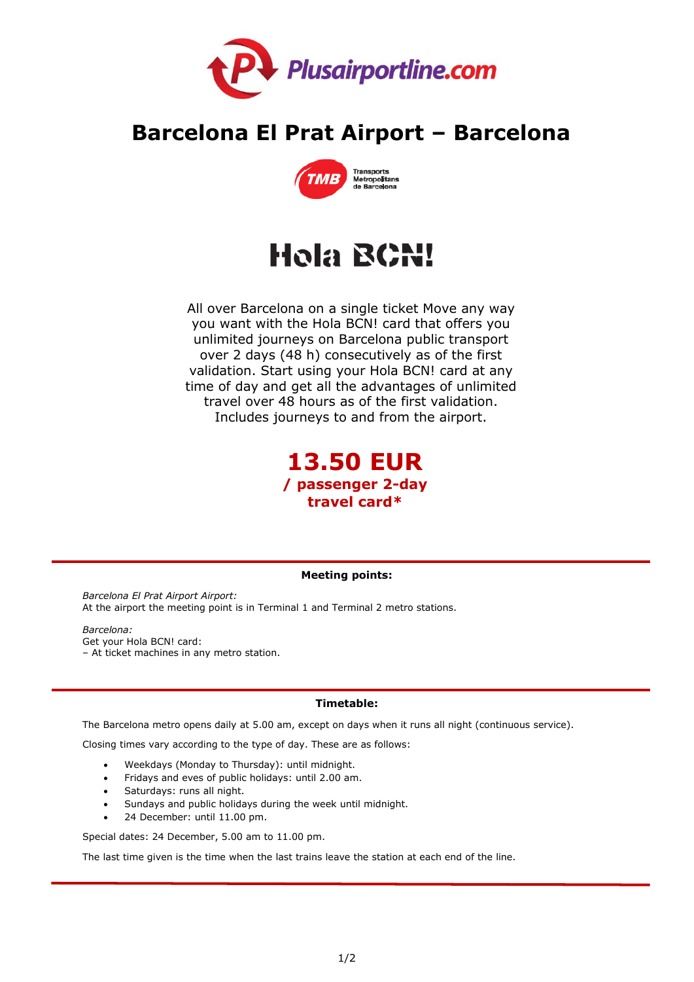

# **Barcelona El Prat Airport – Barcelona**



# Hola BCN!

All over Barcelona on a single ticket Move any way you want with the Hola BCN! card that offers you unlimited journeys on Barcelona public transport over 2 days (48 h) consecutively as of the first validation. Start using your Hola BCN! card at any time of day and get all the advantages of unlimited travel over 48 hours as of the first validation. Includes journeys to and from the airport.



## **Meeting points:**

*Barcelona El Prat Airport Airport:* At the airport the meeting point is in Terminal 1 and Terminal 2 metro stations.

*Barcelona:*  Get your Hola BCN! card: – At ticket machines in any metro station.

## **Timetable:**

The Barcelona metro opens daily at 5.00 am, except on days when it runs all night (continuous service).

Closing times vary according to the type of day. These are as follows:

- Weekdays (Monday to Thursday): until midnight.
- Fridays and eves of public holidays: until 2.00 am.
- Saturdays: runs all night.
- Sundays and public holidays during the week until midnight.
- 24 December: until 11.00 pm.

Special dates: 24 December, 5.00 am to 11.00 pm.

The last time given is the time when the last trains leave the station at each end of the line.